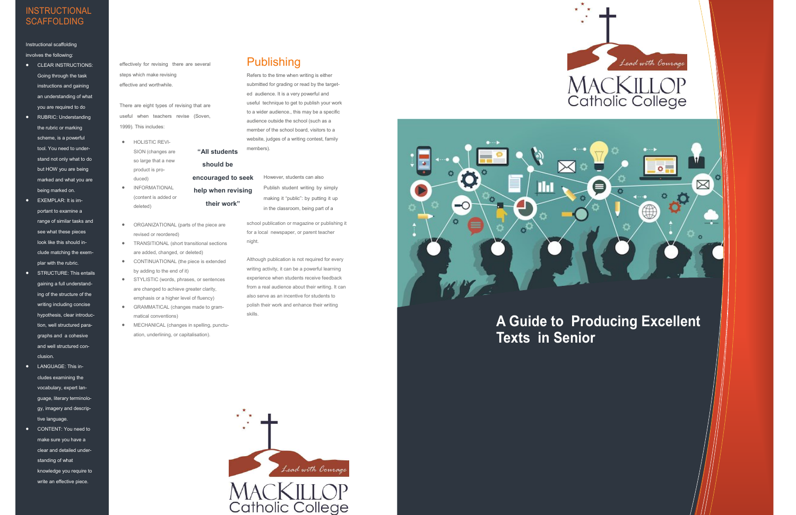## **A Guide to Producing Excellent Texts in Senior**



- **•** HOLISTIC REVI-SION (changes are so large that a new product is produced)
- $\bullet$  INFORMATIONAL (content is added or deleted)
- ORGANIZATIONAL (parts of the piece are revised or reordered)
- **•** TRANSITIONAL (short transitional sections are added, changed, or deleted)
- **•** CONTINUATIONAL (the piece is extended by adding to the end of it)
- **•** STYLISTIC (words, phrases, or sentences are changed to achieve greater clarity, emphasis or a higher level of fluency)
- GRAMMATICAL (changes made to grammatical conventions)
- MECHANICAL (changes in spelling, punctuation, underlining, or capitalisation).

#### **Publishing**

**"All students** 

**should be** 

**encouraged to seek help when revising their work"** 

However, students can also Publish student writing by simply making it "public": by putting it up in the classroom, being part of a

#### **INSTRUCTIONAL SCAFFOLDING**

Instructional scaffolding involves the following:

- **•** CLEAR INSTRUCTIONS: Going through the task instructions and gaining an understanding of what you are required to do
- RUBRIC: Understanding the rubric or marking scheme, is a powerful tool. You need to understand not only what to do but HOW you are being marked and what you are being marked on.
- EXEMPLAR: It is important to examine a range of similar tasks and see what these pieces look like this should include matching the exemplar with the rubric.
- **•** STRUCTURE: This entails gaining a full understanding of the structure of the writing including concise hypothesis, clear introduction, well structured paragraphs and a cohesive and well structured conclusion.
- LANGUAGE: This includes examining the vocabulary, expert language, literary terminology, imagery and descriptive language.
- CONTENT: You need to make sure you have a clear and detailed understanding of what knowledge you require to write an effective piece.

effectively for revising there are several steps which make revising effective and worthwhile.

There are eight types of revising that are useful when teachers revise (Soven, 1999). This includes:

> school publication or magazine or publishing it for a local newspaper, or parent teacher night.

Although publication is not required for every writing activity, it can be a powerful learning experience when students receive feedback from a real audience about their writing. It can also serve as an incentive for students to polish their work and enhance their writing skills.







Refers to the time when writing is either submitted for grading or read by the targeted audience. It is a very powerful and useful technique to get to publish your work to a wider audience., this may be a specific audience outside the school (such as a member of the school board, visitors to a website, judges of a writing contest, family members).